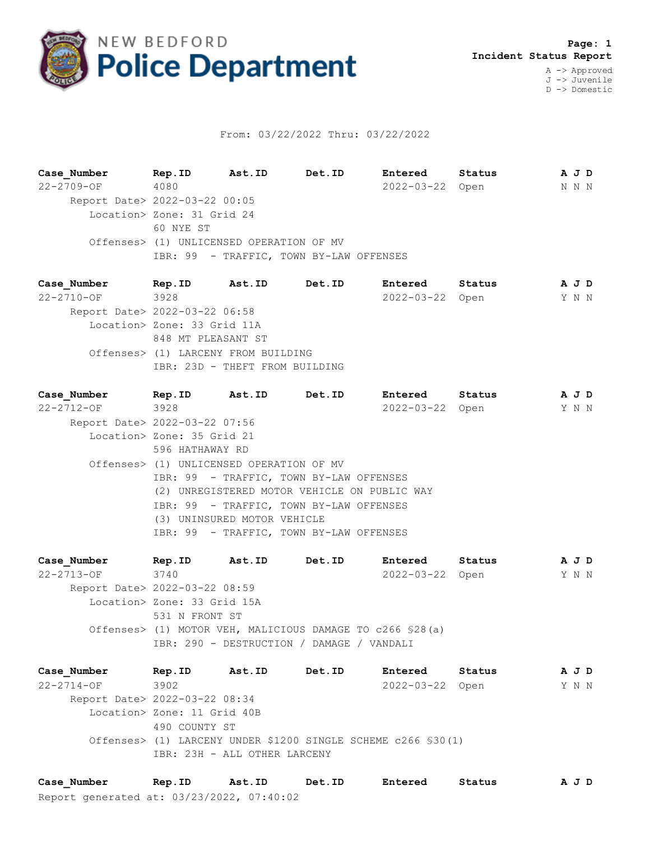

## From: 03/22/2022 Thru: 03/22/2022

**Case\_Number Rep.ID Ast.ID Det.ID Entered Status A J D** 22-2709-OF 4080 2022-03-22 Open N N N Report Date> 2022-03-22 00:05 Location> Zone: 31 Grid 24 60 NYE ST Offenses> (1) UNLICENSED OPERATION OF MV IBR: 99 - TRAFFIC, TOWN BY-LAW OFFENSES

**Case\_Number Rep.ID Ast.ID Det.ID Entered Status A J D** 22-2710-OF 3928 2022-03-22 Open Y N N Report Date> 2022-03-22 06:58 Location> Zone: 33 Grid 11A 848 MT PLEASANT ST Offenses> (1) LARCENY FROM BUILDING IBR: 23D - THEFT FROM BUILDING

**Case\_Number Rep.ID Ast.ID Det.ID Entered Status A J D** 22-2712-OF 3928 2022-03-22 Open Y N N Report Date> 2022-03-22 07:56 Location> Zone: 35 Grid 21 596 HATHAWAY RD Offenses> (1) UNLICENSED OPERATION OF MV IBR: 99 - TRAFFIC, TOWN BY-LAW OFFENSES (2) UNREGISTERED MOTOR VEHICLE ON PUBLIC WAY IBR: 99 - TRAFFIC, TOWN BY-LAW OFFENSES (3) UNINSURED MOTOR VEHICLE IBR: 99 - TRAFFIC, TOWN BY-LAW OFFENSES

**Case\_Number Rep.ID Ast.ID Det.ID Entered Status A J D** 22-2713-OF 3740 2022-03-22 Open Y N N Report Date> 2022-03-22 08:59 Location> Zone: 33 Grid 15A 531 N FRONT ST Offenses> (1) MOTOR VEH, MALICIOUS DAMAGE TO c266 §28(a) IBR: 290 - DESTRUCTION / DAMAGE / VANDALI

**Case\_Number Rep.ID Ast.ID Det.ID Entered Status A J D** 22-2714-OF 3902 2022-03-22 Open Y N N Report Date> 2022-03-22 08:34 Location> Zone: 11 Grid 40B 490 COUNTY ST Offenses> (1) LARCENY UNDER \$1200 SINGLE SCHEME c266 §30(1) IBR: 23H - ALL OTHER LARCENY

Report generated at: 03/23/2022, 07:40:02 **Case\_Number Rep.ID Ast.ID Det.ID Entered Status A J D**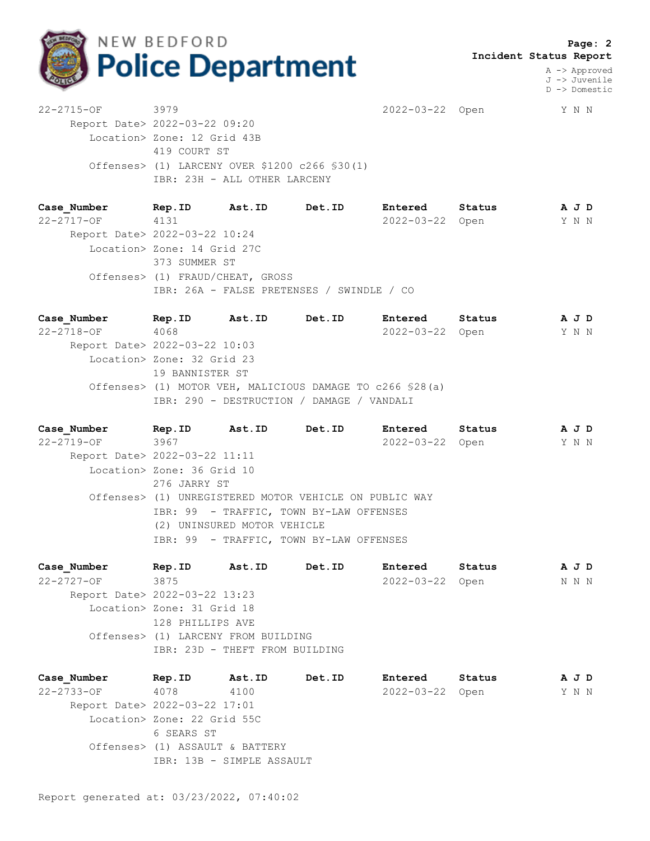

 **Page: 2 Incident Status Report**

> A -> Approved J -> Juvenile D -> Domestic

22-2715-OF 3979 2022-03-22 Open Y N N Report Date> 2022-03-22 09:20 Location> Zone: 12 Grid 43B 419 COURT ST Offenses> (1) LARCENY OVER \$1200 c266 §30(1) IBR: 23H - ALL OTHER LARCENY

**Case\_Number Rep.ID Ast.ID Det.ID Entered Status A J D** 22-2717-OF 4131 2022-03-22 Open Y N N Report Date> 2022-03-22 10:24 Location> Zone: 14 Grid 27C 373 SUMMER ST Offenses> (1) FRAUD/CHEAT, GROSS IBR: 26A - FALSE PRETENSES / SWINDLE / CO

**Case\_Number Rep.ID Ast.ID Det.ID Entered Status A J D** 22-2718-OF 4068 2022-03-22 Open Y N N Report Date> 2022-03-22 10:03 Location> Zone: 32 Grid 23 19 BANNISTER ST Offenses> (1) MOTOR VEH, MALICIOUS DAMAGE TO c266 §28(a) IBR: 290 - DESTRUCTION / DAMAGE / VANDALI

**Case\_Number Rep.ID Ast.ID Det.ID Entered Status A J D** 22-2719-OF 3967 2022-03-22 Open Y N N Report Date> 2022-03-22 11:11 Location> Zone: 36 Grid 10 276 JARRY ST Offenses> (1) UNREGISTERED MOTOR VEHICLE ON PUBLIC WAY IBR: 99 - TRAFFIC, TOWN BY-LAW OFFENSES (2) UNINSURED MOTOR VEHICLE IBR: 99 - TRAFFIC, TOWN BY-LAW OFFENSES

**Case\_Number Rep.ID Ast.ID Det.ID Entered Status A J D** 22-2727-OF 3875 2022-03-22 Open N N N Report Date> 2022-03-22 13:23 Location> Zone: 31 Grid 18 128 PHILLIPS AVE Offenses> (1) LARCENY FROM BUILDING IBR: 23D - THEFT FROM BUILDING

**Case\_Number Rep.ID Ast.ID Det.ID Entered Status A J D** 22-2733-OF 4078 4100 2022-03-22 Open Y N N Report Date> 2022-03-22 17:01 Location> Zone: 22 Grid 55C 6 SEARS ST Offenses> (1) ASSAULT & BATTERY IBR: 13B - SIMPLE ASSAULT